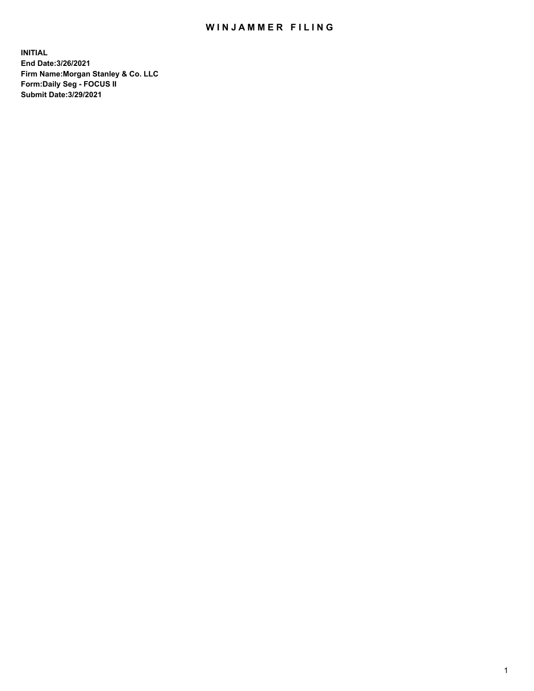## WIN JAMMER FILING

**INITIAL End Date:3/26/2021 Firm Name:Morgan Stanley & Co. LLC Form:Daily Seg - FOCUS II Submit Date:3/29/2021**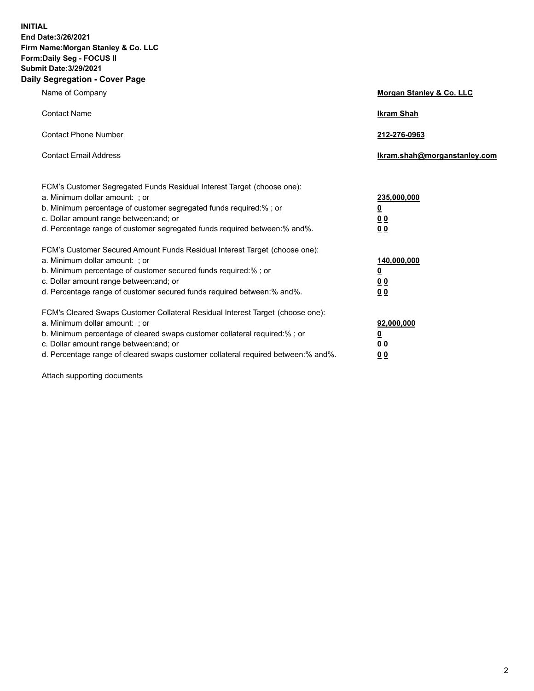**INITIAL End Date:3/26/2021 Firm Name:Morgan Stanley & Co. LLC Form:Daily Seg - FOCUS II Submit Date:3/29/2021 Daily Segregation - Cover Page**

| Name of Company                                                                                                                                                                                                                                                                                                                | Morgan Stanley & Co. LLC                                    |
|--------------------------------------------------------------------------------------------------------------------------------------------------------------------------------------------------------------------------------------------------------------------------------------------------------------------------------|-------------------------------------------------------------|
| <b>Contact Name</b>                                                                                                                                                                                                                                                                                                            | <b>Ikram Shah</b>                                           |
| <b>Contact Phone Number</b>                                                                                                                                                                                                                                                                                                    | 212-276-0963                                                |
| <b>Contact Email Address</b>                                                                                                                                                                                                                                                                                                   | lkram.shah@morganstanley.com                                |
| FCM's Customer Segregated Funds Residual Interest Target (choose one):<br>a. Minimum dollar amount: ; or<br>b. Minimum percentage of customer segregated funds required:% ; or<br>c. Dollar amount range between: and; or<br>d. Percentage range of customer segregated funds required between:% and%.                         | 235,000,000<br><u>0</u><br><u>00</u><br>00                  |
| FCM's Customer Secured Amount Funds Residual Interest Target (choose one):<br>a. Minimum dollar amount: ; or<br>b. Minimum percentage of customer secured funds required:%; or<br>c. Dollar amount range between: and; or<br>d. Percentage range of customer secured funds required between: % and %.                          | 140,000,000<br><u>0</u><br>0 <sub>0</sub><br>0 <sub>0</sub> |
| FCM's Cleared Swaps Customer Collateral Residual Interest Target (choose one):<br>a. Minimum dollar amount: ; or<br>b. Minimum percentage of cleared swaps customer collateral required:% ; or<br>c. Dollar amount range between: and; or<br>d. Percentage range of cleared swaps customer collateral required between:% and%. | 92,000,000<br><u>0</u><br><u>00</u><br>00                   |

Attach supporting documents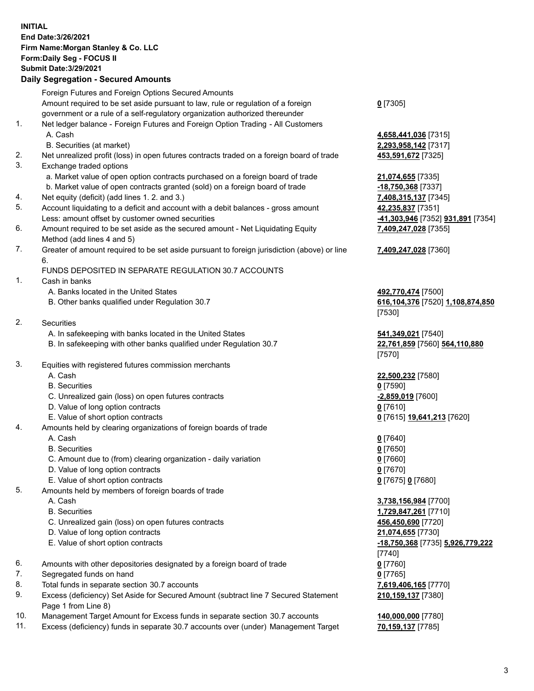## **INITIAL End Date:3/26/2021 Firm Name:Morgan Stanley & Co. LLC Form:Daily Seg - FOCUS II Submit Date:3/29/2021**

## **Daily Segregation - Secured Amounts**

Foreign Futures and Foreign Options Secured Amounts Amount required to be set aside pursuant to law, rule or regulation of a foreign government or a rule of a self-regulatory organization authorized thereunder 1. Net ledger balance - Foreign Futures and Foreign Option Trading - All Customers A. Cash **4,658,441,036** [7315] B. Securities (at market) **2,293,958,142** [7317] 2. Net unrealized profit (loss) in open futures contracts traded on a foreign board of trade **453,591,672** [7325] 3. Exchange traded options a. Market value of open option contracts purchased on a foreign board of trade **21,074,655** [7335] b. Market value of open contracts granted (sold) on a foreign board of trade **-18,750,368** [7337] 4. Net equity (deficit) (add lines 1. 2. and 3.) **7,408,315,137** [7345] 5. Account liquidating to a deficit and account with a debit balances - gross amount **42,235,837** [7351] Less: amount offset by customer owned securities **-41,303,946** [7352] **931,891** [7354] 6. Amount required to be set aside as the secured amount - Net Liquidating Equity Method (add lines 4 and 5) 7. Greater of amount required to be set aside pursuant to foreign jurisdiction (above) or line 6. FUNDS DEPOSITED IN SEPARATE REGULATION 30.7 ACCOUNTS 1. Cash in banks A. Banks located in the United States **492,770,474** [7500] B. Other banks qualified under Regulation 30.7 **616,104,376** [7520] **1,108,874,850** 2. Securities A. In safekeeping with banks located in the United States **541,349,021** [7540] B. In safekeeping with other banks qualified under Regulation 30.7 **22,761,859** [7560] **564,110,880** 3. Equities with registered futures commission merchants A. Cash **22,500,232** [7580] B. Securities **0** [7590] C. Unrealized gain (loss) on open futures contracts **-2,859,019** [7600] D. Value of long option contracts **0** [7610] E. Value of short option contracts **0** [7615] **19,641,213** [7620] 4. Amounts held by clearing organizations of foreign boards of trade A. Cash **0** [7640] B. Securities **0** [7650] C. Amount due to (from) clearing organization - daily variation **0** [7660] D. Value of long option contracts **0** [7670] E. Value of short option contracts **0** [7675] **0** [7680] 5. Amounts held by members of foreign boards of trade A. Cash **3,738,156,984** [7700] B. Securities **1,729,847,261** [7710] C. Unrealized gain (loss) on open futures contracts **456,450,690** [7720] D. Value of long option contracts **21,074,655** [7730] E. Value of short option contracts **-18,750,368** [7735] **5,926,779,222** 6. Amounts with other depositories designated by a foreign board of trade **0** [7760] 7. Segregated funds on hand **0** [7765] 8. Total funds in separate section 30.7 accounts **7,619,406,165** [7770] 9. Excess (deficiency) Set Aside for Secured Amount (subtract line 7 Secured Statement Page 1 from Line 8)

- 10. Management Target Amount for Excess funds in separate section 30.7 accounts **140,000,000** [7780]
- 11. Excess (deficiency) funds in separate 30.7 accounts over (under) Management Target **70,159,137** [7785]

**0** [7305]

**7,409,247,028** [7355]

## **7,409,247,028** [7360]

[7530]

[7570]

[7740] **210,159,137** [7380]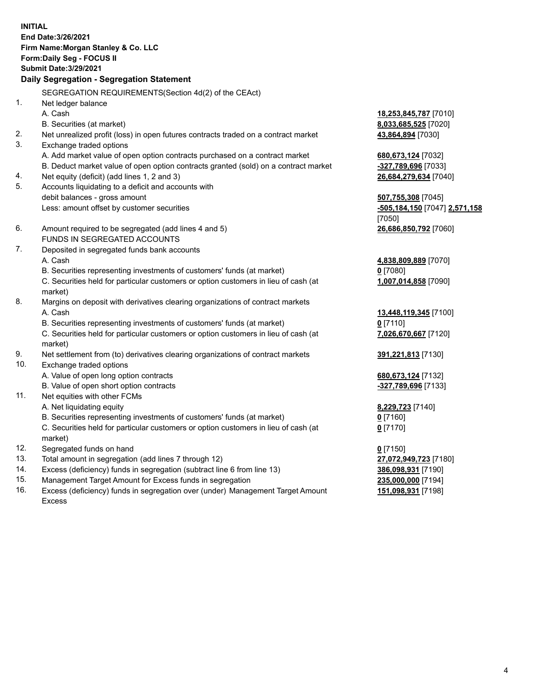**INITIAL End Date:3/26/2021 Firm Name:Morgan Stanley & Co. LLC Form:Daily Seg - FOCUS II Submit Date:3/29/2021 Daily Segregation - Segregation Statement** SEGREGATION REQUIREMENTS(Section 4d(2) of the CEAct) 1. Net ledger balance A. Cash **18,253,845,787** [7010] B. Securities (at market) **8,033,685,525** [7020] 2. Net unrealized profit (loss) in open futures contracts traded on a contract market **43,864,894** [7030] 3. Exchange traded options A. Add market value of open option contracts purchased on a contract market **680,673,124** [7032] B. Deduct market value of open option contracts granted (sold) on a contract market **-327,789,696** [7033] 4. Net equity (deficit) (add lines 1, 2 and 3) **26,684,279,634** [7040] 5. Accounts liquidating to a deficit and accounts with debit balances - gross amount **507,755,308** [7045] Less: amount offset by customer securities **-505,184,150** [7047] **2,571,158** [7050] 6. Amount required to be segregated (add lines 4 and 5) **26,686,850,792** [7060] FUNDS IN SEGREGATED ACCOUNTS 7. Deposited in segregated funds bank accounts A. Cash **4,838,809,889** [7070] B. Securities representing investments of customers' funds (at market) **0** [7080] C. Securities held for particular customers or option customers in lieu of cash (at market) **1,007,014,858** [7090] 8. Margins on deposit with derivatives clearing organizations of contract markets A. Cash **13,448,119,345** [7100] B. Securities representing investments of customers' funds (at market) **0** [7110] C. Securities held for particular customers or option customers in lieu of cash (at market) **7,026,670,667** [7120] 9. Net settlement from (to) derivatives clearing organizations of contract markets **391,221,813** [7130] 10. Exchange traded options A. Value of open long option contracts **680,673,124** [7132] B. Value of open short option contracts **and the set of our original contracts -327,789,696** [7133] 11. Net equities with other FCMs A. Net liquidating equity **8,229,723** [7140] B. Securities representing investments of customers' funds (at market) **0** [7160] C. Securities held for particular customers or option customers in lieu of cash (at market) **0** [7170] 12. Segregated funds on hand **0** [7150] 13. Total amount in segregation (add lines 7 through 12) **27,072,949,723** [7180] 14. Excess (deficiency) funds in segregation (subtract line 6 from line 13) **386,098,931** [7190] 15. Management Target Amount for Excess funds in segregation **235,000,000** [7194]

16. Excess (deficiency) funds in segregation over (under) Management Target Amount Excess

**151,098,931** [7198]